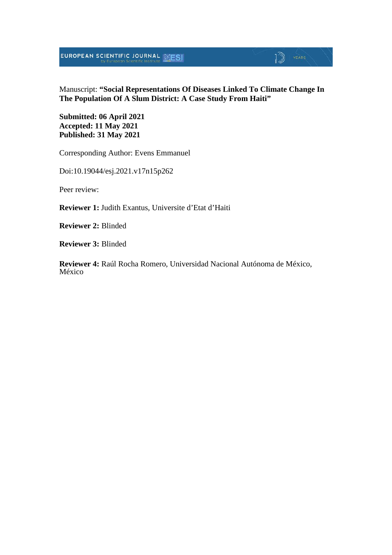**EUROPEAN SCIENTIFIC JOURNAL SESI** 

# $\mathbb{D}$  YEARS

Manuscript: **"Social Representations Of Diseases Linked To Climate Change In The Population Of A Slum District: A Case Study From Haiti"**

**Submitted: 06 April 2021 Accepted: 11 May 2021 Published: 31 May 2021**

Corresponding Author: Evens Emmanuel

Doi:10.19044/esj.2021.v17n15p262

Peer review:

**Reviewer 1:** Judith Exantus, Universite d'Etat d'Haiti

**Reviewer 2:** Blinded

**Reviewer 3:** Blinded

**Reviewer 4:** Raúl Rocha Romero, Universidad Nacional Autónoma de México, México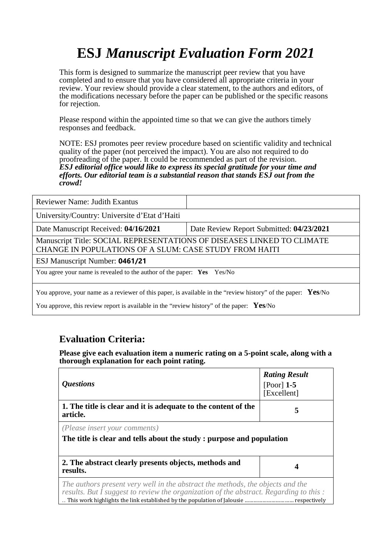# **ESJ** *Manuscript Evaluation Form 2021*

This form is designed to summarize the manuscript peer review that you have completed and to ensure that you have considered all appropriate criteria in your review. Your review should provide a clear statement, to the authors and editors, of the modifications necessary before the paper can be published or the specific reasons for rejection.

Please respond within the appointed time so that we can give the authors timely responses and feedback.

NOTE: ESJ promotes peer review procedure based on scientific validity and technical quality of the paper (not perceived the impact). You are also not required to do proofreading of the paper. It could be recommended as part of the revision. *ESJ editorial office would like to express its special gratitude for your time and efforts. Our editorial team is a substantial reason that stands ESJ out from the crowd!* 

| Date Review Report Submitted: 04/23/2021                                                                                         |  |  |
|----------------------------------------------------------------------------------------------------------------------------------|--|--|
| Manuscript Title: SOCIAL REPRESENTATIONS OF DISEASES LINKED TO CLIMATE<br>CHANGE IN POPULATIONS OF A SLUM: CASE STUDY FROM HAITI |  |  |
| ESJ Manuscript Number: 0461/21                                                                                                   |  |  |
| You agree your name is revealed to the author of the paper: Yes Yes/No                                                           |  |  |
|                                                                                                                                  |  |  |

You approve, your name as a reviewer of this paper, is available in the "review history" of the paper: **Yes**/No

You approve, this review report is available in the "review history" of the paper: **Yes**/No

### **Evaluation Criteria:**

**Please give each evaluation item a numeric rating on a 5-point scale, along with a thorough explanation for each point rating.**

| <i><b>Questions</b></i>                                                                                                                                                 | <b>Rating Result</b><br>[Poor] $1-5$<br>[Excellent] |
|-------------------------------------------------------------------------------------------------------------------------------------------------------------------------|-----------------------------------------------------|
| 1. The title is clear and it is adequate to the content of the<br>article.                                                                                              | 5                                                   |
| (Please insert your comments)<br>The title is clear and tells about the study: purpose and population                                                                   |                                                     |
| 2. The abstract clearly presents objects, methods and<br>results.                                                                                                       | 4                                                   |
| The authors present very well in the abstract the methods, the objects and the<br>results. But I suggest to review the organization of the abstract. Regarding to this: |                                                     |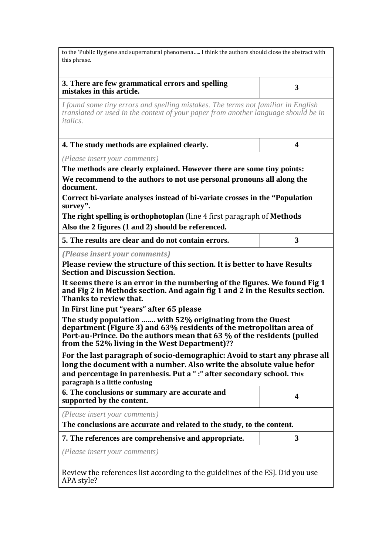to the 'Public Hygiene and supernatural phenomena….. I think the authors should close the abstract with this phrase.

*I found some tiny errors and spelling mistakes. The terms not familiar in English translated or used in the context of your paper from another language should be in italics.* 

| 4. The study methods are explained clearly. |  |
|---------------------------------------------|--|
|---------------------------------------------|--|

*(Please insert your comments)*

**The methods are clearly explained. However there are some tiny points: We recommend to the authors to not use personal pronouns all along the document.** 

**Correct bi-variate analyses instead of bi-variate crosses in the "Population survey".**

**The right spelling is orthophotoplan** (line 4 first paragraph of **Methods Also the 2 figures (1 and 2) should be referenced.**

| 5. The results are clear and do not contain errors. |  |
|-----------------------------------------------------|--|
|                                                     |  |

*(Please insert your comments)*

**Please review the structure of this section. It is better to have Results Section and Discussion Section.**

**It seems there is an error in the numbering of the figures. We found Fig 1 and Fig 2 in Methods section. And again fig 1 and 2 in the Results section. Thanks to review that.**

**In First line put "years" after 65 please**

**The study population ……. with 52% originating from the Ouest department (Figure 3) and 63% residents of the metropolitan area of Port-au-Prince. Do the authors mean that 63 % of the residents (pulled from the 52% living in the West Department)??**

**For the last paragraph of socio-demographic: Avoid to start any phrase all long the document with a number. Also write the absolute value befor and percentage in parenhesis. Put a " :" after secondary school. This paragraph is a little confusing**

| 6. The conclusions or summary are accurate and<br>supported by the content.                             |  |
|---------------------------------------------------------------------------------------------------------|--|
| (Please insert your comments)<br>The conclusions are accurate and related to the study, to the content. |  |
| 7. The references are comprehensive and appropriate.                                                    |  |
| (Please insert your comments)                                                                           |  |

Review the references list according to the guidelines of the ESJ. Did you use APA style?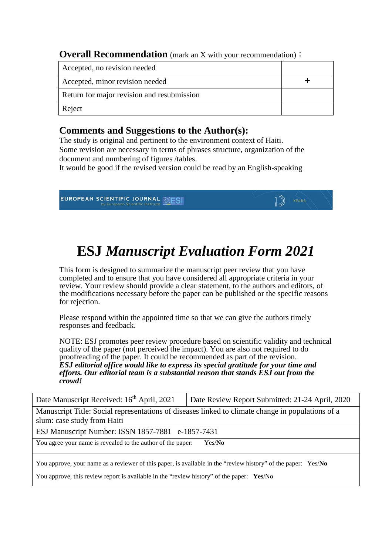**Overall Recommendation** (mark an X with your recommendation):

| Accepted, no revision needed               |  |
|--------------------------------------------|--|
| Accepted, minor revision needed            |  |
| Return for major revision and resubmission |  |
| Reject                                     |  |

## **Comments and Suggestions to the Author(s):**

The study is original and pertinent to the environment context of Haiti. Some revision are necessary in terms of phrases structure, organization of the document and numbering of figures /tables.

It would be good if the revised version could be read by an English-speaking



# **ESJ** *Manuscript Evaluation Form 2021*

This form is designed to summarize the manuscript peer review that you have completed and to ensure that you have considered all appropriate criteria in your review. Your review should provide a clear statement, to the authors and editors, of the modifications necessary before the paper can be published or the specific reasons for rejection.

Please respond within the appointed time so that we can give the authors timely responses and feedback.

NOTE: ESJ promotes peer review procedure based on scientific validity and technical quality of the paper (not perceived the impact). You are also not required to do proofreading of the paper. It could be recommended as part of the revision. *ESJ editorial office would like to express its special gratitude for your time and efforts. Our editorial team is a substantial reason that stands ESJ out from the crowd!* 

| Date Manuscript Received: 16 <sup>th</sup> April, 2021                                                        | Date Review Report Submitted: 21-24 April, 2020 |  |
|---------------------------------------------------------------------------------------------------------------|-------------------------------------------------|--|
| Manuscript Title: Social representations of diseases linked to climate change in populations of a             |                                                 |  |
| slum: case study from Haiti                                                                                   |                                                 |  |
| ESJ Manuscript Number: ISSN 1857-7881 e-1857-7431                                                             |                                                 |  |
| You agree your name is revealed to the author of the paper:<br>Yes/No                                         |                                                 |  |
| You approve, your name as a reviewer of this paper, is available in the "review history" of the paper: Yes/No |                                                 |  |
| You approve, this review report is available in the "review history" of the paper: Yes/No                     |                                                 |  |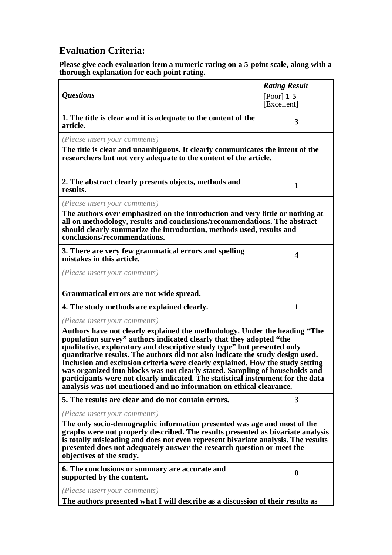# **Evaluation Criteria:**

**Please give each evaluation item a numeric rating on a 5-point scale, along with a thorough explanation for each point rating.**

| <b>Questions</b>                                                                                                                                                                                                                                                                                                                                                                                                                                                                                                                                                                                                                                                             | <b>Rating Result</b><br>$[Poor]$ 1-5 |
|------------------------------------------------------------------------------------------------------------------------------------------------------------------------------------------------------------------------------------------------------------------------------------------------------------------------------------------------------------------------------------------------------------------------------------------------------------------------------------------------------------------------------------------------------------------------------------------------------------------------------------------------------------------------------|--------------------------------------|
|                                                                                                                                                                                                                                                                                                                                                                                                                                                                                                                                                                                                                                                                              | [Excellent]                          |
| 1. The title is clear and it is adequate to the content of the<br>article.                                                                                                                                                                                                                                                                                                                                                                                                                                                                                                                                                                                                   | 3                                    |
| (Please insert your comments)<br>The title is clear and unambiguous. It clearly communicates the intent of the<br>researchers but not very adequate to the content of the article.                                                                                                                                                                                                                                                                                                                                                                                                                                                                                           |                                      |
| 2. The abstract clearly presents objects, methods and<br>results.                                                                                                                                                                                                                                                                                                                                                                                                                                                                                                                                                                                                            | 1                                    |
| (Please insert your comments)                                                                                                                                                                                                                                                                                                                                                                                                                                                                                                                                                                                                                                                |                                      |
| The authors over emphasized on the introduction and very little or nothing at<br>all on methodology, results and conclusions/recommendations. The abstract<br>should clearly summarize the introduction, methods used, results and<br>conclusions/recommendations.                                                                                                                                                                                                                                                                                                                                                                                                           |                                      |
| 3. There are very few grammatical errors and spelling<br>mistakes in this article.                                                                                                                                                                                                                                                                                                                                                                                                                                                                                                                                                                                           | 4                                    |
| (Please insert your comments)                                                                                                                                                                                                                                                                                                                                                                                                                                                                                                                                                                                                                                                |                                      |
| Grammatical errors are not wide spread.                                                                                                                                                                                                                                                                                                                                                                                                                                                                                                                                                                                                                                      |                                      |
| 4. The study methods are explained clearly.                                                                                                                                                                                                                                                                                                                                                                                                                                                                                                                                                                                                                                  | 1                                    |
| (Please insert your comments)<br>Authors have not clearly explained the methodology. Under the heading "The<br>population survey" authors indicated clearly that they adopted "the<br>qualitative, exploratory and descriptive study type" but presented only<br>quantitative results. The authors did not also indicate the study design used.<br>Inclusion and exclusion criteria were clearly explained. How the study setting<br>was organized into blocks was not clearly stated. Sampling of households and<br>participants were not clearly indicated. The statistical instrument for the data<br>analysis was not mentioned and no information on ethical clearance. |                                      |
| 5. The results are clear and do not contain errors.                                                                                                                                                                                                                                                                                                                                                                                                                                                                                                                                                                                                                          | 3                                    |
| (Please insert your comments)<br>The only socio-demographic information presented was age and most of the<br>graphs were not properly described. The results presented as bivariate analysis<br>is totally misleading and does not even represent bivariate analysis. The results<br>presented does not adequately answer the research question or meet the<br>objectives of the study.                                                                                                                                                                                                                                                                                      |                                      |
| 6. The conclusions or summary are accurate and<br>supported by the content.                                                                                                                                                                                                                                                                                                                                                                                                                                                                                                                                                                                                  | $\boldsymbol{0}$                     |
| (Please insert your comments)<br>The authors presented what I will describe as a discussion of their results as                                                                                                                                                                                                                                                                                                                                                                                                                                                                                                                                                              |                                      |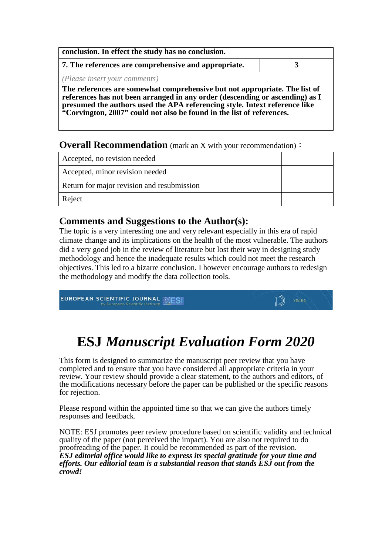| conclusion. In effect the study has no conclusion.   |  |
|------------------------------------------------------|--|
| 7. The references are comprehensive and appropriate. |  |
| ( <i>Please insert your comments</i> )               |  |

**The references are somewhat comprehensive but not appropriate. The list of references has not been arranged in any order (descending or ascending) as I presumed the authors used the APA referencing style. Intext reference like "Corvington, 2007" could not also be found in the list of references.**

#### **Overall Recommendation** (mark an X with your recommendation):

| Accepted, no revision needed               |  |
|--------------------------------------------|--|
| Accepted, minor revision needed            |  |
| Return for major revision and resubmission |  |
| Reject                                     |  |

### **Comments and Suggestions to the Author(s):**

The topic is a very interesting one and very relevant especially in this era of rapid climate change and its implications on the health of the most vulnerable. The authors did a very good job in the review of literature but lost their way in designing study methodology and hence the inadequate results which could not meet the research objectives. This led to a bizarre conclusion. I however encourage authors to redesign the methodology and modify the data collection tools.

EUROPEAN SCIENTIFIC JOURNAL EUROPEAN

# **ESJ** *Manuscript Evaluation Form 2020*

This form is designed to summarize the manuscript peer review that you have completed and to ensure that you have considered all appropriate criteria in your review. Your review should provide a clear statement, to the authors and editors, of the modifications necessary before the paper can be published or the specific reasons for rejection.

Please respond within the appointed time so that we can give the authors timely responses and feedback.

NOTE: ESJ promotes peer review procedure based on scientific validity and technical quality of the paper (not perceived the impact). You are also not required to do proofreading of the paper. It could be recommended as part of the revision. *ESJ editorial office would like to express its special gratitude for your time and efforts. Our editorial team is a substantial reason that stands ESJ out from the crowd!*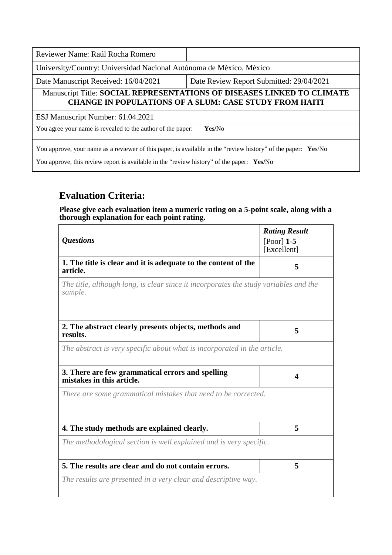| Reviewer Name: Raúl Rocha Romero                                                                                                        |                                          |  |
|-----------------------------------------------------------------------------------------------------------------------------------------|------------------------------------------|--|
| University/Country: Universidad Nacional Autónoma de México. México                                                                     |                                          |  |
| Date Manuscript Received: 16/04/2021                                                                                                    | Date Review Report Submitted: 29/04/2021 |  |
| Manuscript Title: SOCIAL REPRESENTATIONS OF DISEASES LINKED TO CLIMATE<br><b>CHANGE IN POPULATIONS OF A SLUM: CASE STUDY FROM HAITI</b> |                                          |  |
| ESJ Manuscript Number: 61.04.2021                                                                                                       |                                          |  |
| You agree your name is revealed to the author of the paper:<br>Yes/No                                                                   |                                          |  |
| You approve, your name as a reviewer of this paper, is available in the "review history" of the paper: Yes/No                           |                                          |  |

You approve, this review report is available in the "review history" of the paper: **Yes/**No

## **Evaluation Criteria:**

**Please give each evaluation item a numeric rating on a 5-point scale, along with a thorough explanation for each point rating.**

| <i><b>Questions</b></i>                                                                         | <b>Rating Result</b><br>[Poor] $1-5$ |
|-------------------------------------------------------------------------------------------------|--------------------------------------|
|                                                                                                 | [Excellent]                          |
| 1. The title is clear and it is adequate to the content of the<br>article.                      | 5                                    |
| The title, although long, is clear since it incorporates the study variables and the<br>sample. |                                      |
| 2. The abstract clearly presents objects, methods and<br>results.                               | 5                                    |
| The abstract is very specific about what is incorporated in the article.                        |                                      |
| 3. There are few grammatical errors and spelling<br>mistakes in this article.                   | 4                                    |
| There are some grammatical mistakes that need to be corrected.                                  |                                      |
|                                                                                                 |                                      |
| 4. The study methods are explained clearly.                                                     | 5                                    |
| The methodological section is well explained and is very specific.                              |                                      |
| 5. The results are clear and do not contain errors.                                             | 5                                    |